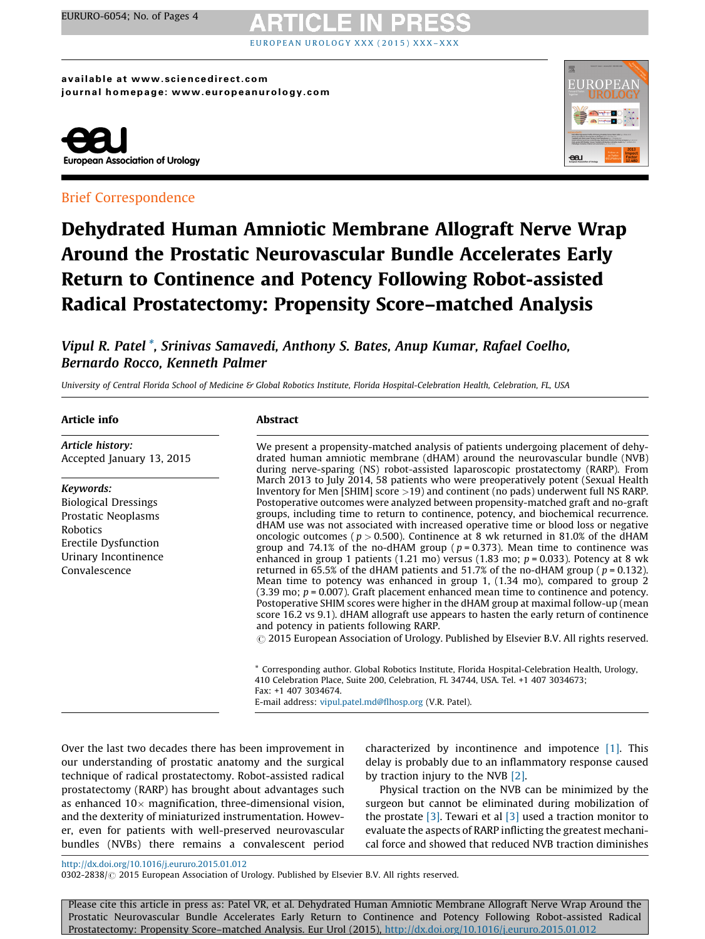# EUROPEA[N](http://dx.doi.org/10.1016/j.eururo.2015.01.012) UROLOGY XXX (2015) XXX-XXX

available at www.sciencedirect.com journal homepage: www.europeanurology.com



### Brief Correspondence



## Dehydrated Human Amniotic Membrane Allograft Nerve Wrap Around the Prostatic Neurovascular Bundle Accelerates Early Return to Continence and Potency Following Robot-assisted Radical Prostatectomy: Propensity Score–matched Analysis

### Vipul R. Patel \*, Srinivas Samavedi, Anthony S. Bates, Anup Kumar, Rafael Coelho, Bernardo Rocco, Kenneth Palmer

University of Central Florida School of Medicine & Global Robotics Institute, Florida Hospital-Celebration Health, Celebration, FL, USA

#### Article info

Article history: Accepted January 13, 2015

### Keywords:

Biological Dressings Prostatic Neoplasms Robotics Erectile Dysfunction Urinary Incontinence Convalescence

#### Abstract

We present a propensity-matched analysis of patients undergoing placement of dehydrated human amniotic membrane (dHAM) around the neurovascular bundle (NVB) during nerve-sparing (NS) robot-assisted laparoscopic prostatectomy (RARP). From March 2013 to July 2014, 58 patients who were preoperatively potent (Sexual Health Inventory for Men [SHIM] score >19) and continent (no pads) underwent full NS RARP. Postoperative outcomes were analyzed between propensity-matched graft and no-graft groups, including time to return to continence, potency, and biochemical recurrence. dHAM use was not associated with increased operative time or blood loss or negative oncologic outcomes ( $p > 0.500$ ). Continence at 8 wk returned in 81.0% of the dHAM group and 74.1% of the no-dHAM group ( $p = 0.373$ ). Mean time to continence was enhanced in group 1 patients (1.21 mo) versus (1.83 mo;  $p = 0.033$ ). Potency at 8 wk returned in 65.5% of the dHAM patients and 51.7% of the no-dHAM group ( $p = 0.132$ ). Mean time to potency was enhanced in group 1, (1.34 mo), compared to group 2 (3.39 mo;  $p = 0.007$ ). Graft placement enhanced mean time to continence and potency. Postoperative SHIM scores were higher in the dHAM group at maximal follow-up (mean score 16.2 vs 9.1). dHAM allograft use appears to hasten the early return of continence and potency in patients following RARP.  $\odot$  2015 European Association of Urology. Published by Elsevier B.V. All rights reserved.

\* Corresponding author. Global Robotics Institute, Florida Hospital-Celebration Health, Urology, 410 Celebration Place, Suite 200, Celebration, FL 34744, USA. Tel. +1 407 3034673; Fax: +1 407 3034674.

E-mail address: [vipul.patel.md@flhosp.org](mailto:vipul.patel.md@flhosp.org) (V.R. Patel).

Over the last two decades there has been improvement in our understanding of prostatic anatomy and the surgical technique of radical prostatectomy. Robot-assisted radical prostatectomy (RARP) has brought about advantages such as enhanced 10 $\times$  magnification, three-dimensional vision, and the dexterity of miniaturized instrumentation. However, even for patients with well-preserved neurovascular bundles (NVBs) there remains a convalescent period

characterized by incontinence and impotence [\[1\].](#page-2-0) This delay is probably due to an inflammatory response caused by traction injury to the NVB [\[2\].](#page-2-0)

Physical traction on the NVB can be minimized by the surgeon but cannot be eliminated during mobilization of the prostate  $\begin{bmatrix} 3 \end{bmatrix}$ . Tewari et al  $\begin{bmatrix} 3 \end{bmatrix}$  used a traction monitor to evaluate the aspects of RARP inflicting the greatest mechanical force and showed that reduced NVB traction diminishes

#### <http://dx.doi.org/10.1016/j.eururo.2015.01.012>

0302-2838/ 2015 European Association of Urology. Published by Elsevier B.V. All rights reserved.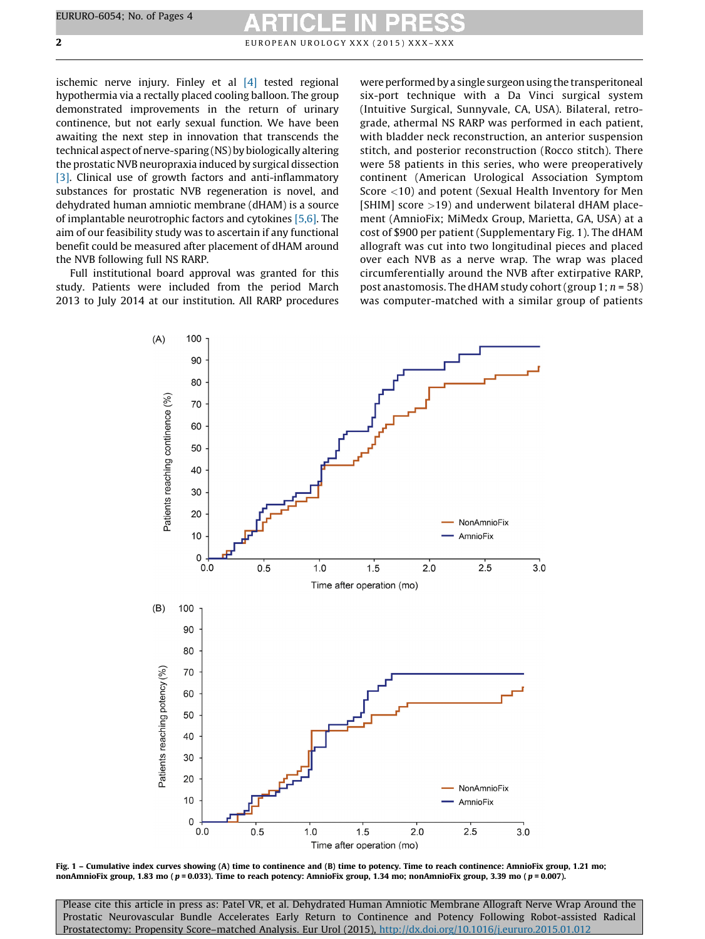# <span id="page-1-0"></span>2 EUROPEAN UROLOGY XXX (2015) XXX-XXX

ischemic nerve injury. Finley et al [\[4\]](#page-2-0) tested regional hypothermia via a rectally placed cooling balloon. The group demonstrated improvements in the return of urinary continence, but not early sexual function. We have been awaiting the next step in innovation that transcends the technical aspect of nerve-sparing (NS) by biologically altering the prostatic NVB neuropraxia induced by surgical dissection [\[3\].](#page-2-0) Clinical use of growth factors and anti-inflammatory substances for prostatic NVB regeneration is novel, and dehydrated human amniotic membrane (dHAM) is a source of implantable neurotrophic factors and cytokines [\[5,6\]](#page-2-0). The aim of our feasibility study was to ascertain if any functional benefit could be measured after placement of dHAM around the NVB following full NS RARP.

Full institutional board approval was granted for this study. Patients were included from the period March 2013 to July 2014 at our institution. All RARP procedures were performed by a single surgeon using the transperitoneal six-port technique with a Da Vinci surgical system (Intuitive Surgical, Sunnyvale, CA, USA). Bilateral, retrograde, athermal NS RARP was performed in each patient, with bladder neck reconstruction, an anterior suspension stitch, and posterior reconstruction (Rocco stitch). There were 58 patients in this series, who were preoperatively continent (American Urological Association Symptom Score <10) and potent (Sexual Health Inventory for Men [SHIM] score >19) and underwent bilateral dHAM placement (AmnioFix; MiMedx Group, Marietta, GA, USA) at a cost of \$900 per patient (Supplementary Fig. 1). The dHAM allograft was cut into two longitudinal pieces and placed over each NVB as a nerve wrap. The wrap was placed circumferentially around the NVB after extirpative RARP, post anastomosis. The dHAM study cohort (group 1;  $n = 58$ ) was computer-matched with a similar group of patients



Fig. 1 – Cumulative index curves showing (A) time to continence and (B) time to potency. Time to reach continence: AmnioFix group, 1.21 mo; nonAmnioFix group, 1.83 mo (p = 0.033). Time to reach potency: AmnioFix group, 1.34 mo; nonAmnioFix group, 3.39 mo (p = 0.007).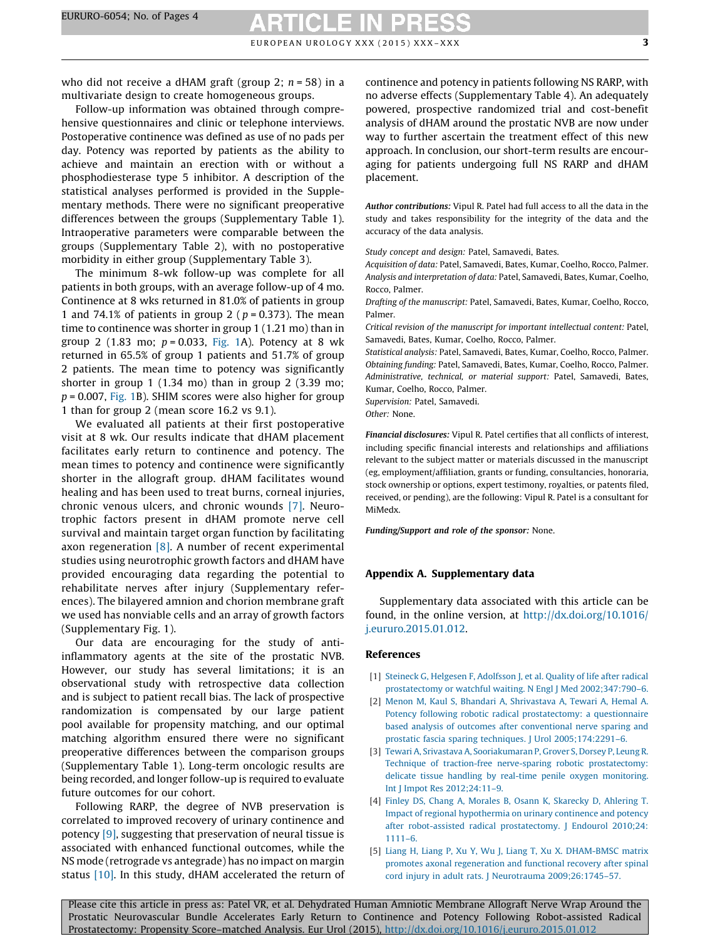# $E$ U RO PEAN UROLOGY XXX (2015) XXX-XXX  $\overline{3}$

<span id="page-2-0"></span>Follow-up information was obtained through comprehensive questionnaires and clinic or telephone interviews. Postoperative continence was defined as use of no pads per day. Potency was reported by patients as the ability to achieve and maintain an erection with or without a phosphodiesterase type 5 inhibitor. A description of the statistical analyses performed is provided in the Supplementary methods. There were no significant preoperative differences between the groups (Supplementary Table 1). Intraoperative parameters were comparable between the groups (Supplementary Table 2), with no postoperative morbidity in either group (Supplementary Table 3).

The minimum 8-wk follow-up was complete for all patients in both groups, with an average follow-up of 4 mo. Continence at 8 wks returned in 81.0% of patients in group 1 and 74.1% of patients in group 2 ( $p = 0.373$ ). The mean time to continence was shorter in group 1 (1.21 mo) than in group 2 (1.83 mo;  $p = 0.033$ , [Fig.](#page-1-0) 1A). Potency at 8 wk returned in 65.5% of group 1 patients and 51.7% of group 2 patients. The mean time to potency was significantly shorter in group 1 (1.34 mo) than in group 2 (3.39 mo;  $p = 0.007$ , [Fig.](#page-1-0) 1B). SHIM scores were also higher for group 1 than for group 2 (mean score 16.2 vs 9.1).

We evaluated all patients at their first postoperative visit at 8 wk. Our results indicate that dHAM placement facilitates early return to continence and potency. The mean times to potency and continence were significantly shorter in the allograft group. dHAM facilitates wound healing and has been used to treat burns, corneal injuries, chronic venous ulcers, and chronic wounds [\[7\].](#page-3-0) Neurotrophic factors present in dHAM promote nerve cell survival and maintain target organ function by facilitating axon regeneration  $[8]$ . A number of recent experimental studies using neurotrophic growth factors and dHAM have provided encouraging data regarding the potential to rehabilitate nerves after injury (Supplementary references). The bilayered amnion and chorion membrane graft we used has nonviable cells and an array of growth factors (Supplementary Fig. 1).

Our data are encouraging for the study of antiinflammatory agents at the site of the prostatic NVB. However, our study has several limitations; it is an observational study with retrospective data collection and is subject to patient recall bias. The lack of prospective randomization is compensated by our large patient pool available for propensity matching, and our optimal matching algorithm ensured there were no significant preoperative differences between the comparison groups (Supplementary Table 1). Long-term oncologic results are being recorded, and longer follow-up is required to evaluate future outcomes for our cohort.

Following RARP, the degree of NVB preservation is correlated to improved recovery of urinary continence and potency [\[9\]](#page-3-0), suggesting that preservation of neural tissue is associated with enhanced functional outcomes, while the NS mode (retrograde vs antegrade) has no impact on margin status [\[10\]](#page-3-0). In this study, dHAM accelerated the return of continence and potency in patients following NS RARP, with no adverse effects (Supplementary Table 4). An adequately powered, prospective randomized trial and cost-benefit analysis of dHAM around the prostatic NVB are now under way to further ascertain the treatment effect of this new approach. In conclusion, our short-term results are encouraging for patients undergoing full NS RARP and dHAM placement.

Author contributions: Vipul R. Patel had full access to all the data in the study and takes responsibility for the integrity of the data and the accuracy of the data analysis.

Study concept and design: Patel, Samavedi, Bates.

Acquisition of data: Patel, Samavedi, Bates, Kumar, Coelho, Rocco, Palmer. Analysis and interpretation of data: Patel, Samavedi, Bates, Kumar, Coelho, Rocco, Palmer.

Drafting of the manuscript: Patel, Samavedi, Bates, Kumar, Coelho, Rocco, Palmer.

Critical revision of the manuscript for important intellectual content: Patel, Samavedi, Bates, Kumar, Coelho, Rocco, Palmer.

Statistical analysis: Patel, Samavedi, Bates, Kumar, Coelho, Rocco, Palmer. Obtaining funding: Patel, Samavedi, Bates, Kumar, Coelho, Rocco, Palmer. Administrative, technical, or material support: Patel, Samavedi, Bates, Kumar, Coelho, Rocco, Palmer.

Supervision: Patel, Samavedi.

Other: None.

Financial disclosures: Vipul R. Patel certifies that all conflicts of interest, including specific financial interests and relationships and affiliations relevant to the subject matter or materials discussed in the manuscript (eg, employment/affiliation, grants or funding, consultancies, honoraria, stock ownership or options, expert testimony, royalties, or patents filed, received, or pending), are the following: Vipul R. Patel is a consultant for MiMedx.

Funding/Support and role of the sponsor: None.

### Appendix A. Supplementary data

Supplementary data associated with this article can be found, in the online version, at [http://dx.doi.org/10.1016/](http://dx.doi.org/10.1016/j.eururo.2015.01.012) [j.eururo.2015.01.012](http://dx.doi.org/10.1016/j.eururo.2015.01.012).

#### References

- [1] Steineck G, Helgesen F, [Adolfsson](http://refhub.elsevier.com/S0302-2838(15)00027-5/sbref0055) J, et al. Quality of life after radical prostatectomy or watchful waiting. N Engl J Med [2002;347:790–6](http://refhub.elsevier.com/S0302-2838(15)00027-5/sbref0055).
- [2] Menon M, Kaul S, Bhandari A, [Shrivastava](http://refhub.elsevier.com/S0302-2838(15)00027-5/sbref0060) A, Tewari A, Hemal A. Potency following robotic radical [prostatectomy:](http://refhub.elsevier.com/S0302-2838(15)00027-5/sbref0060) a questionnaire based analysis of outcomes after [conventional](http://refhub.elsevier.com/S0302-2838(15)00027-5/sbref0060) nerve sparing and prostatic fascia sparing techniques. J Urol [2005;174:2291–6](http://refhub.elsevier.com/S0302-2838(15)00027-5/sbref0060).
- [3] Tewari A, Srivastava A, [Sooriakumaran](http://refhub.elsevier.com/S0302-2838(15)00027-5/sbref0065) P, Grover S, Dorsey P, Leung R. Technique of traction-free nerve-sparing robotic [prostatectomy:](http://refhub.elsevier.com/S0302-2838(15)00027-5/sbref0065) delicate tissue handling by real-time penile oxygen [monitoring.](http://refhub.elsevier.com/S0302-2838(15)00027-5/sbref0065) Int J Impot Res [2012;24:11–9.](http://refhub.elsevier.com/S0302-2838(15)00027-5/sbref0065)
- [4] Finley DS, Chang A, Morales B, Osann K, [Skarecky](http://refhub.elsevier.com/S0302-2838(15)00027-5/sbref0070) D, Ahlering T. Impact of regional [hypothermia](http://refhub.elsevier.com/S0302-2838(15)00027-5/sbref0070) on urinary continence and potency after robot-assisted radical [prostatectomy.](http://refhub.elsevier.com/S0302-2838(15)00027-5/sbref0070) J Endourol 2010;24: [1111–6](http://refhub.elsevier.com/S0302-2838(15)00027-5/sbref0070).
- [5] Liang H, Liang P, Xu Y, Wu J, Liang T, Xu X. [DHAM-BMSC](http://refhub.elsevier.com/S0302-2838(15)00027-5/sbref0075) matrix promotes axonal [regeneration](http://refhub.elsevier.com/S0302-2838(15)00027-5/sbref0075) and functional recovery after spinal cord injury in adult rats. J Neurotrauma [2009;26:1745–57](http://refhub.elsevier.com/S0302-2838(15)00027-5/sbref0075).